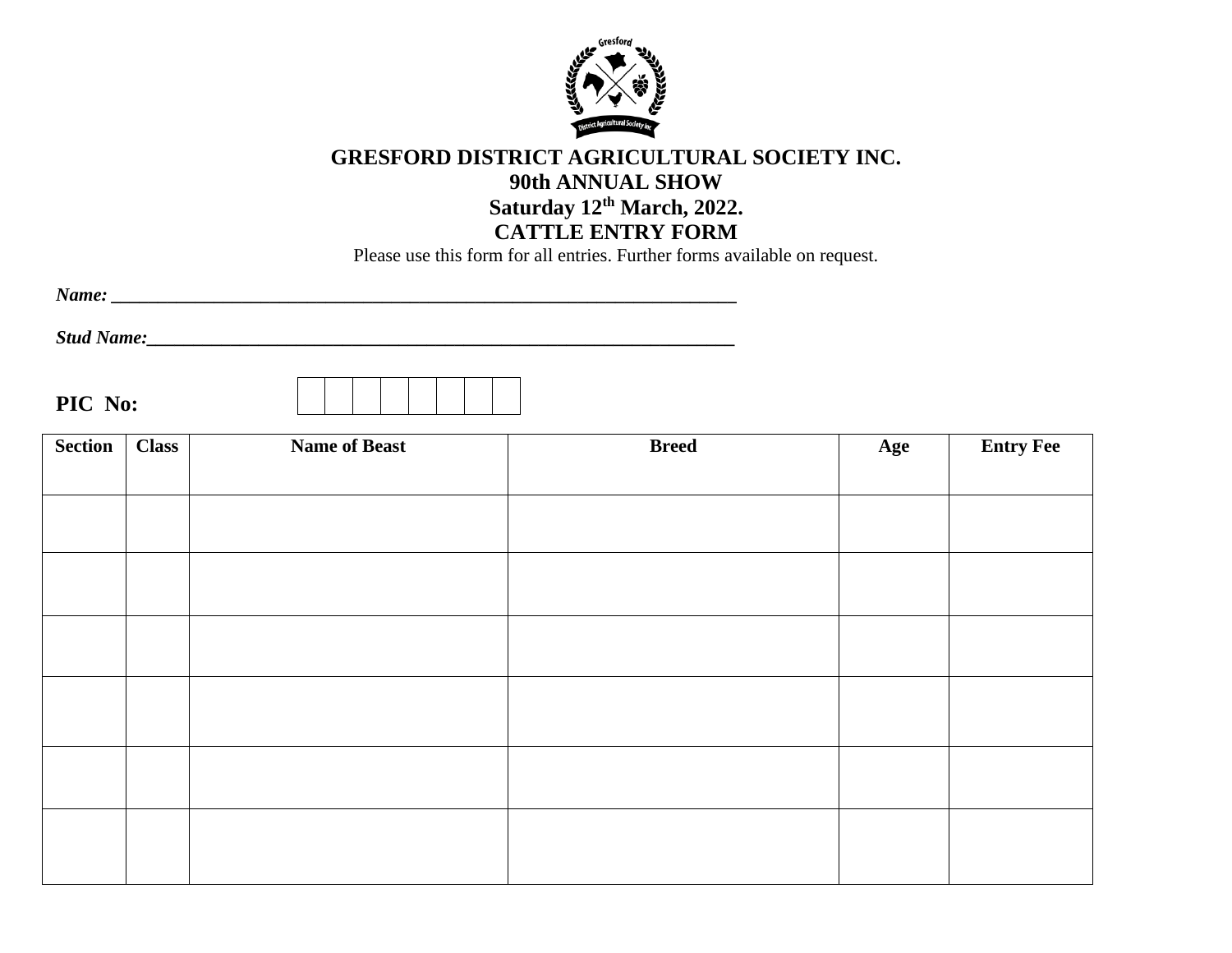

## **GRESFORD DISTRICT AGRICULTURAL SOCIETY INC. 90th ANNUAL SHOW Saturday 12 th March, 2022. CATTLE ENTRY FORM**

Please use this form for all entries. Further forms available on request.

*Name: \_\_\_\_\_\_\_\_\_\_\_\_\_\_\_\_\_\_\_\_\_\_\_\_\_\_\_\_\_\_\_\_\_\_\_\_\_\_\_\_\_\_\_\_\_\_\_\_\_\_\_\_\_\_\_\_\_\_\_\_\_\_\_\_\_\_\_*

*Stud Name:\_\_\_\_\_\_\_\_\_\_\_\_\_\_\_\_\_\_\_\_\_\_\_\_\_\_\_\_\_\_\_\_\_\_\_\_\_\_\_\_\_\_\_\_\_\_\_\_\_\_\_\_\_\_\_\_\_\_\_\_\_\_\_*

**PIC No:**



| <b>Section</b> | <b>Class</b> | <b>Name of Beast</b> | <b>Breed</b> | Age | <b>Entry Fee</b> |
|----------------|--------------|----------------------|--------------|-----|------------------|
|                |              |                      |              |     |                  |
|                |              |                      |              |     |                  |
|                |              |                      |              |     |                  |
|                |              |                      |              |     |                  |
|                |              |                      |              |     |                  |
|                |              |                      |              |     |                  |
|                |              |                      |              |     |                  |
|                |              |                      |              |     |                  |
|                |              |                      |              |     |                  |
|                |              |                      |              |     |                  |
|                |              |                      |              |     |                  |
|                |              |                      |              |     |                  |
|                |              |                      |              |     |                  |
|                |              |                      |              |     |                  |